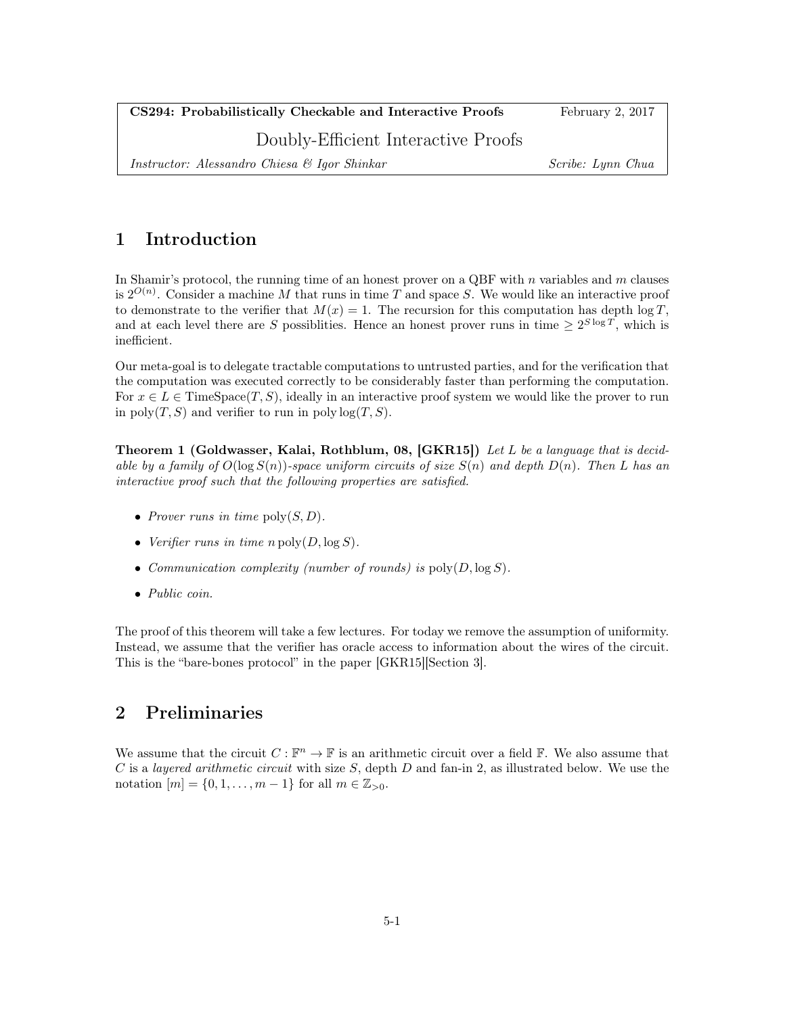| CS294: Probabilistically Checkable and Interactive Proofs | February $2, 2017$ |
|-----------------------------------------------------------|--------------------|
| Doubly-Efficient Interactive Proofs                       |                    |
| Instructor: Alessandro Chiesa & Igor Shinkar              | Scribe: Lynn Chua  |

## 1 Introduction

In Shamir's protocol, the running time of an honest prover on a QBF with  $n$  variables and  $m$  clauses is  $2^{O(n)}$ . Consider a machine M that runs in time T and space S. We would like an interactive proof to demonstrate to the verifier that  $M(x) = 1$ . The recursion for this computation has depth  $\log T$ , and at each level there are S possiblities. Hence an honest prover runs in time  $\geq 2^{S \log T}$ , which is inefficient.

Our meta-goal is to delegate tractable computations to untrusted parties, and for the verification that the computation was executed correctly to be considerably faster than performing the computation. For  $x \in L \in \text{TimeSpace}(T, S)$ , ideally in an interactive proof system we would like the prover to run in poly $(T, S)$  and verifier to run in poly  $log(T, S)$ .

Theorem 1 (Goldwasser, Kalai, Rothblum, 08, [GKR15]) Let L be a language that is decidable by a family of  $O(\log S(n))$ -space uniform circuits of size  $S(n)$  and depth  $D(n)$ . Then L has an interactive proof such that the following properties are satisfied.

- Prover runs in time  $\text{poly}(S, D)$ .
- Verifier runs in time  $n \operatorname{poly}(D, \log S)$ .
- Communication complexity (number of rounds) is  $\text{poly}(D, \log S)$ .
- Public coin.

The proof of this theorem will take a few lectures. For today we remove the assumption of uniformity. Instead, we assume that the verifier has oracle access to information about the wires of the circuit. This is the "bare-bones protocol" in the paper [GKR15][Section 3].

## 2 Preliminaries

We assume that the circuit  $C: \mathbb{F}^n \to \mathbb{F}$  is an arithmetic circuit over a field  $\mathbb{F}$ . We also assume that  $C$  is a *layered arithmetic circuit* with size  $S$ , depth  $D$  and fan-in 2, as illustrated below. We use the notation  $[m] = \{0, 1, ..., m - 1\}$  for all  $m \in \mathbb{Z}_{>0}$ .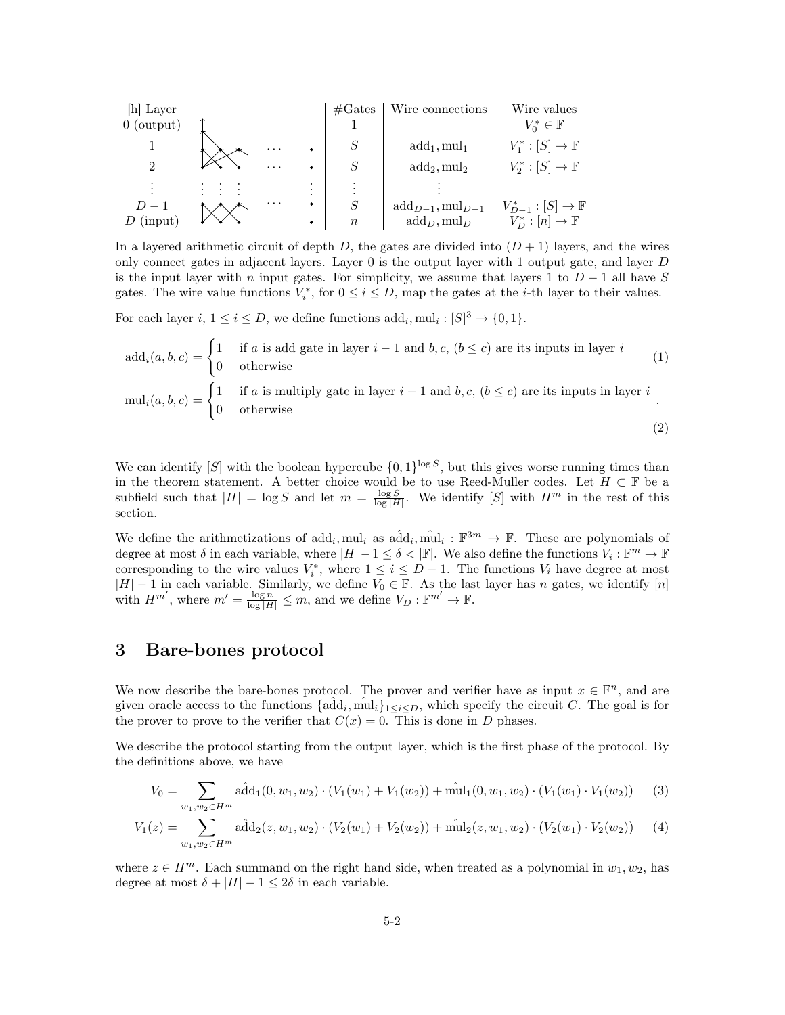| [h] Layer     |          |                           | $\#\text{Gates}$ | Wire connections             | Wire values                   |
|---------------|----------|---------------------------|------------------|------------------------------|-------------------------------|
| (output)<br>0 |          |                           |                  |                              | $V_0^* \in \mathbb{F}$        |
|               | $\cdots$ | $\bullet$                 |                  | $add_1, mul_1$               | $V_1^*: [S] \to \mathbb{F}$   |
| റ             | $\cdots$ | $\bullet$                 | S                | $add_2, mul_2$               | $V_2^*: [S] \to \mathbb{F}$   |
|               |          | ٠<br>$\cdot$<br>$\bullet$ |                  |                              |                               |
| $D-1$         | $\cdots$ | $\bullet$                 | S                | $add_{D-1}, mul_{D-1}$       | $V_{D-1}^*:[S]\to \mathbb{F}$ |
| $D$ (input)   |          | $\bullet$                 | $\boldsymbol{n}$ | $\text{add}_D, \text{mul}_D$ | $V_D^*: [n] \to \mathbb{F}$   |

In a layered arithmetic circuit of depth D, the gates are divided into  $(D + 1)$  layers, and the wires only connect gates in adjacent layers. Layer  $0$  is the output layer with 1 output gate, and layer  $D$ is the input layer with n input gates. For simplicity, we assume that layers 1 to  $D-1$  all have S gates. The wire value functions  $V_i^*$ , for  $0 \le i \le D$ , map the gates at the *i*-th layer to their values.

For each layer  $i, 1 \leq i \leq D$ , we define functions  $\text{add}_i, \text{mul}_i : [S]^3 \to \{0, 1\}.$ 

$$
add_i(a, b, c) = \begin{cases} 1 & \text{if } a \text{ is add gate in layer } i - 1 \text{ and } b, c, (b \le c) \text{ are its inputs in layer } i \\ 0 & \text{otherwise} \end{cases}
$$
  
\n
$$
mul_i(a, b, c) = \begin{cases} 1 & \text{if } a \text{ is multiply gate in layer } i - 1 \text{ and } b, c, (b \le c) \text{ are its inputs in layer } i \\ 0 & \text{otherwise} \end{cases}
$$
  
\n(2)

We can identify [S] with the boolean hypercube  $\{0,1\}^{\log S}$ , but this gives worse running times than in the theorem statement. A better choice would be to use Reed-Muller codes. Let  $H \subset \mathbb{F}$  be a subfield such that  $|H| = \log S$  and let  $m = \frac{\log S}{\log |H|}$ . We identify [S] with  $H^m$  in the rest of this section.

We define the arithmetizations of  $add_i, mul_i$  as  $add_i, mul_i : \mathbb{F}^{3m} \to \mathbb{F}$ . These are polynomials of degree at most  $\delta$  in each variable, where  $|H|-1 \leq \delta < |\mathbb{F}|$ . We also define the functions  $V_i : \mathbb{F}^m \to \mathbb{F}$ corresponding to the wire values  $V_i^*$ , where  $1 \leq i \leq D-1$ . The functions  $V_i$  have degree at most  $|H| - 1$  in each variable. Similarly, we define  $V_0 \in \mathbb{F}$ . As the last layer has n gates, we identify [n] with  $H^{m'}$ , where  $m' = \frac{\log n}{\log |H|} \leq m$ , and we define  $V_D : \mathbb{F}^{m'} \to \mathbb{F}$ .

## 3 Bare-bones protocol

We now describe the bare-bones protocol. The prover and verifier have as input  $x \in \mathbb{F}^n$ , and are given oracle access to the functions  $\{\hat{\text{add}}_i, \hat{\text{mul}}_i\}_{1\leq i\leq D}$ , which specify the circuit C. The goal is for the prover to prove to the verifier that  $C(x) = 0$ . This is done in D phases.

We describe the protocol starting from the output layer, which is the first phase of the protocol. By the definitions above, we have

$$
V_0 = \sum_{w_1, w_2 \in H^m} \hat{\text{add}}_1(0, w_1, w_2) \cdot (V_1(w_1) + V_1(w_2)) + \hat{\text{mult}}_1(0, w_1, w_2) \cdot (V_1(w_1) \cdot V_1(w_2)) \tag{3}
$$

$$
V_1(z) = \sum_{w_1, w_2 \in H^m} \hat{\text{add}}_2(z, w_1, w_2) \cdot (V_2(w_1) + V_2(w_2)) + \hat{\text{mult}}_2(z, w_1, w_2) \cdot (V_2(w_1) \cdot V_2(w_2)) \tag{4}
$$

where  $z \in H^m$ . Each summand on the right hand side, when treated as a polynomial in  $w_1, w_2$ , has degree at most  $\delta + |H| - 1 \leq 2\delta$  in each variable.